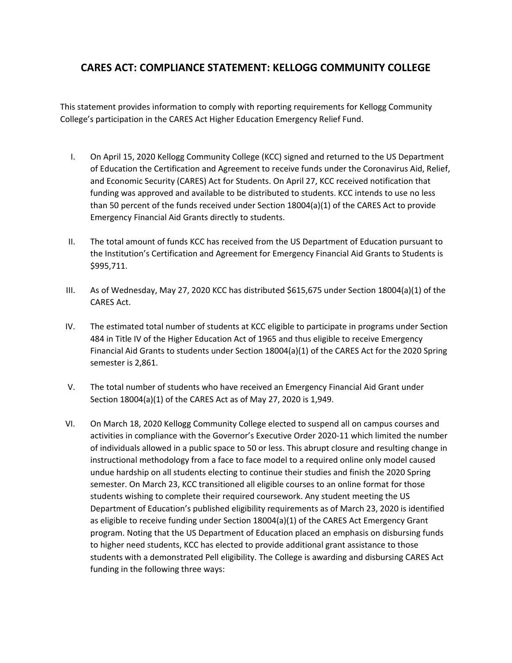## **CARES ACT: COMPLIANCE STATEMENT: KELLOGG COMMUNITY COLLEGE**

This statement provides information to comply with reporting requirements for Kellogg Community College's participation in the CARES Act Higher Education Emergency Relief Fund.

- I. On April 15, 2020 Kellogg Community College (KCC) signed and returned to the US Department of Education the Certification and Agreement to receive funds under the Coronavirus Aid, Relief, and Economic Security (CARES) Act for Students. On April 27, KCC received notification that funding was approved and available to be distributed to students. KCC intends to use no less than 50 percent of the funds received under Section 18004(a)(1) of the CARES Act to provide Emergency Financial Aid Grants directly to students.
- II. The total amount of funds KCC has received from the US Department of Education pursuant to the Institution's Certification and Agreement for Emergency Financial Aid Grants to Students is \$995,711.
- III. As of Wednesday, May 27, 2020 KCC has distributed \$615,675 under Section 18004(a)(1) of the CARES Act.
- IV. The estimated total number of students at KCC eligible to participate in programs under Section 484 in Title IV of the Higher Education Act of 1965 and thus eligible to receive Emergency Financial Aid Grants to students under Section 18004(a)(1) of the CARES Act for the 2020 Spring semester is 2,861.
- V. The total number of students who have received an Emergency Financial Aid Grant under Section 18004(a)(1) of the CARES Act as of May 27, 2020 is 1,949.
- VI. On March 18, 2020 Kellogg Community College elected to suspend all on campus courses and activities in compliance with the Governor's Executive Order 2020-11 which limited the number of individuals allowed in a public space to 50 or less. This abrupt closure and resulting change in instructional methodology from a face to face model to a required online only model caused undue hardship on all students electing to continue their studies and finish the 2020 Spring semester. On March 23, KCC transitioned all eligible courses to an online format for those students wishing to complete their required coursework. Any student meeting the US Department of Education's published eligibility requirements as of March 23, 2020 is identified as eligible to receive funding under Section 18004(a)(1) of the CARES Act Emergency Grant program. Noting that the US Department of Education placed an emphasis on disbursing funds to higher need students, KCC has elected to provide additional grant assistance to those students with a demonstrated Pell eligibility. The College is awarding and disbursing CARES Act funding in the following three ways: